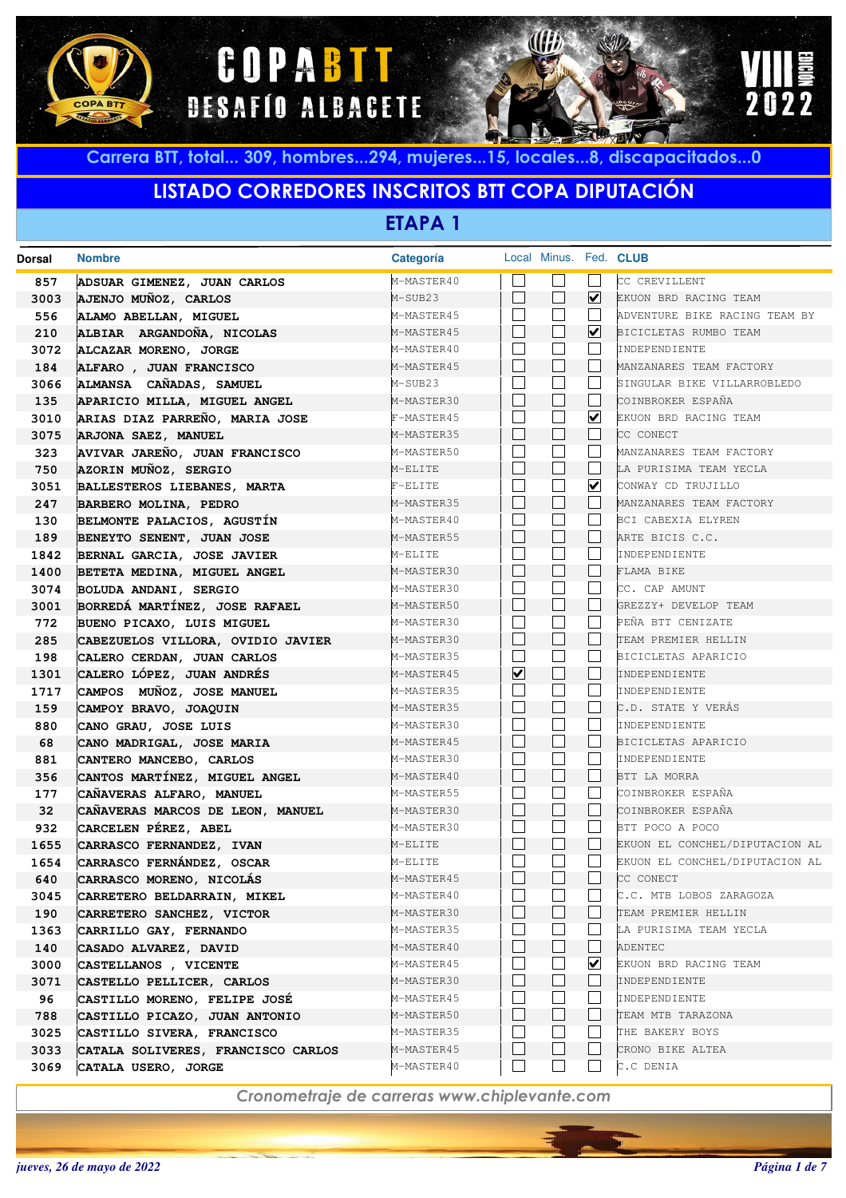





## **LISTADO CORREDORES INSCRITOS BTT COPA DIPUTACIÓN**

**ETAPA 1**

| <b>Dorsal</b> | <b>Nombre</b>                      | <b>Categoría</b> |                         | Local Minus. Fed. CLUB   |                      |                                |
|---------------|------------------------------------|------------------|-------------------------|--------------------------|----------------------|--------------------------------|
| 857           | ADSUAR GIMENEZ, JUAN CARLOS        | M-MASTER40       |                         |                          |                      | CC CREVILLENT                  |
| 3003          | AJENJO MUÑOZ, CARLOS               | M-SUB23          |                         | L                        | ☑                    | EKUON BRD RACING TEAM          |
| 556           | ALAMO ABELLAN, MIGUEL              | M-MASTER45       |                         |                          |                      | ADVENTURE BIKE RACING TEAM BY  |
| 210           | ALBIAR ARGANDOÑA, NICOLAS          | M-MASTER45       |                         |                          | $\blacktriangledown$ | BICICLETAS RUMBO TEAM          |
| 3072          | ALCAZAR MORENO, JORGE              | M-MASTER40       |                         |                          |                      | INDEPENDIENTE                  |
| 184           | ALFARO , JUAN FRANCISCO            | M-MASTER45       |                         | $\mathbb{L}$             |                      | MANZANARES TEAM FACTORY        |
| 3066          | ALMANSA CAÑADAS, SAMUEL            | M-SUB23          |                         |                          |                      | SINGULAR BIKE VILLARROBLEDO    |
| 135           | APARICIO MILLA, MIGUEL ANGEL       | M-MASTER30       |                         | $\mathbf{L}$             |                      | COINBROKER ESPAÑA              |
| 3010          | ARIAS DIAZ PARREÑO, MARIA JOSE     | F-MASTER45       |                         |                          | ☑                    | EKUON BRD RACING TEAM          |
| 3075          | ARJONA SAEZ, MANUEL                | M-MASTER35       |                         | $\mathbf{L}$             |                      | CC CONECT                      |
| 323           | AVIVAR JAREÑO, JUAN FRANCISCO      | M-MASTER50       |                         |                          |                      | MANZANARES TEAM FACTORY        |
| 750           | AZORIN MUÑOZ, SERGIO               | M-ELITE          |                         | $\mathbb{L}$             |                      | LA PURISIMA TEAM YECLA         |
| 3051          | BALLESTEROS LIEBANES, MARTA        | $F-ELITE$        |                         |                          | ☑                    | CONWAY CD TRUJILLO             |
| 247           | BARBERO MOLINA, PEDRO              | M-MASTER35       |                         | $\mathbb{L}$             |                      | MANZANARES TEAM FACTORY        |
| 130           | BELMONTE PALACIOS, AGUSTÍN         | M-MASTER40       |                         |                          |                      | BCI CABEXIA ELYREN             |
| 189           | BENEYTO SENENT, JUAN JOSE          | M-MASTER55       |                         | $\mathbb{L}$             |                      | ARTE BICIS C.C.                |
| 1842          | BERNAL GARCIA, JOSE JAVIER         | M-ELITE          |                         |                          |                      | INDEPENDIENTE                  |
| 1400          | BETETA MEDINA, MIGUEL ANGEL        | M-MASTER30       |                         | $\mathbf{L}$             |                      | FLAMA BIKE                     |
| 3074          | BOLUDA ANDANI, SERGIO              | M-MASTER30       |                         |                          |                      | CC. CAP AMUNT                  |
| 3001          | BORREDÁ MARTÍNEZ, JOSE RAFAEL      | M-MASTER50       |                         | $\mathbf{L}$             |                      | GREZZY+ DEVELOP TEAM           |
| 772           | BUENO PICAXO, LUIS MIGUEL          | M-MASTER30       |                         |                          |                      | PEÑA BTT CENIZATE              |
| 285           | CABEZUELOS VILLORA, OVIDIO JAVIER  | M-MASTER30       |                         | $\mathbf{L}$             |                      | TEAM PREMIER HELLIN            |
| 198           | CALERO CERDAN, JUAN CARLOS         | M-MASTER35       |                         |                          |                      | BICICLETAS APARICIO            |
| 1301          | CALERO LÓPEZ, JUAN ANDRÉS          | M-MASTER45       | $\overline{\mathbf{v}}$ | Н                        |                      | INDEPENDIENTE                  |
| 1717          | CAMPOS MUÑOZ, JOSE MANUEL          | M-MASTER35       |                         |                          |                      | INDEPENDIENTE                  |
| 159           | CAMPOY BRAVO, JOAQUIN              | M-MASTER35       |                         | $\mathbb{L}$             |                      | C.D. STATE Y VERAS             |
| 880           | CANO GRAU, JOSE LUIS               | M-MASTER30       |                         |                          |                      | INDEPENDIENTE                  |
| 68            | CANO MADRIGAL, JOSE MARIA          | M-MASTER45       |                         | $\mathbb{L}$             |                      | BICICLETAS APARICIO            |
| 881           | CANTERO MANCEBO, CARLOS            | M-MASTER30       |                         |                          |                      | INDEPENDIENTE                  |
| 356           | CANTOS MARTÍNEZ, MIGUEL ANGEL      | M-MASTER40       |                         | $\mathbf{L}$             |                      | BTT LA MORRA                   |
| 177           | CAÑAVERAS ALFARO, MANUEL           | M-MASTER55       |                         |                          |                      | COINBROKER ESPAÑA              |
| 32            | CAÑAVERAS MARCOS DE LEON, MANUEL   | M-MASTER30       |                         | $\overline{\phantom{a}}$ |                      | COINBROKER ESPAÑA              |
| 932           | CARCELEN PÉREZ, ABEL               | M-MASTER30       |                         |                          |                      | BTT POCO A POCO                |
| 1655          | CARRASCO FERNANDEZ, IVAN           | M-ELITE          |                         | $\mathbf{L}$             |                      | EKUON EL CONCHEL/DIPUTACION AL |
| 1654          | CARRASCO FERNÁNDEZ, OSCAR          | M-ELITE          |                         |                          |                      | EKUON EL CONCHEL/DIPUTACION AL |
| 640           | CARRASCO MORENO, NICOLÁS           | M-MASTER45       |                         |                          |                      | CC CONECT                      |
| 3045          | CARRETERO BELDARRAIN, MIKEL        | M-MASTER40       |                         |                          |                      | C.C. MTB LOBOS ZARAGOZA        |
| 190           | CARRETERO SANCHEZ, VICTOR          | M-MASTER30       |                         |                          |                      | TEAM PREMIER HELLIN            |
| 1363          | CARRILLO GAY, FERNANDO             | M-MASTER35       |                         |                          |                      | LA PURISIMA TEAM YECLA         |
| 140           | CASADO ALVAREZ, DAVID              | M-MASTER40       |                         | $\overline{\phantom{0}}$ |                      | ADENTEC                        |
| 3000          | CASTELLANOS , VICENTE              | M-MASTER45       |                         |                          | ⊻                    | EKUON BRD RACING TEAM          |
| 3071          | CASTELLO PELLICER, CARLOS          | M-MASTER30       |                         | $\overline{\phantom{0}}$ |                      | INDEPENDIENTE                  |
| 96            | CASTILLO MORENO, FELIPE JOSÉ       | M-MASTER45       |                         |                          |                      | INDEPENDIENTE                  |
| 788           | CASTILLO PICAZO, JUAN ANTONIO      | M-MASTER50       |                         | $\mathbf{L}$             |                      | TEAM MTB TARAZONA              |
| 3025          | CASTILLO SIVERA, FRANCISCO         | M-MASTER35       |                         |                          |                      | THE BAKERY BOYS                |
| 3033          | CATALA SOLIVERES, FRANCISCO CARLOS | M-MASTER45       |                         | $\overline{\phantom{0}}$ |                      | CRONO BIKE ALTEA               |
| 3069          | CATALA USERO, JORGE                | M-MASTER40       |                         | $\sim$                   |                      | C.C DENIA                      |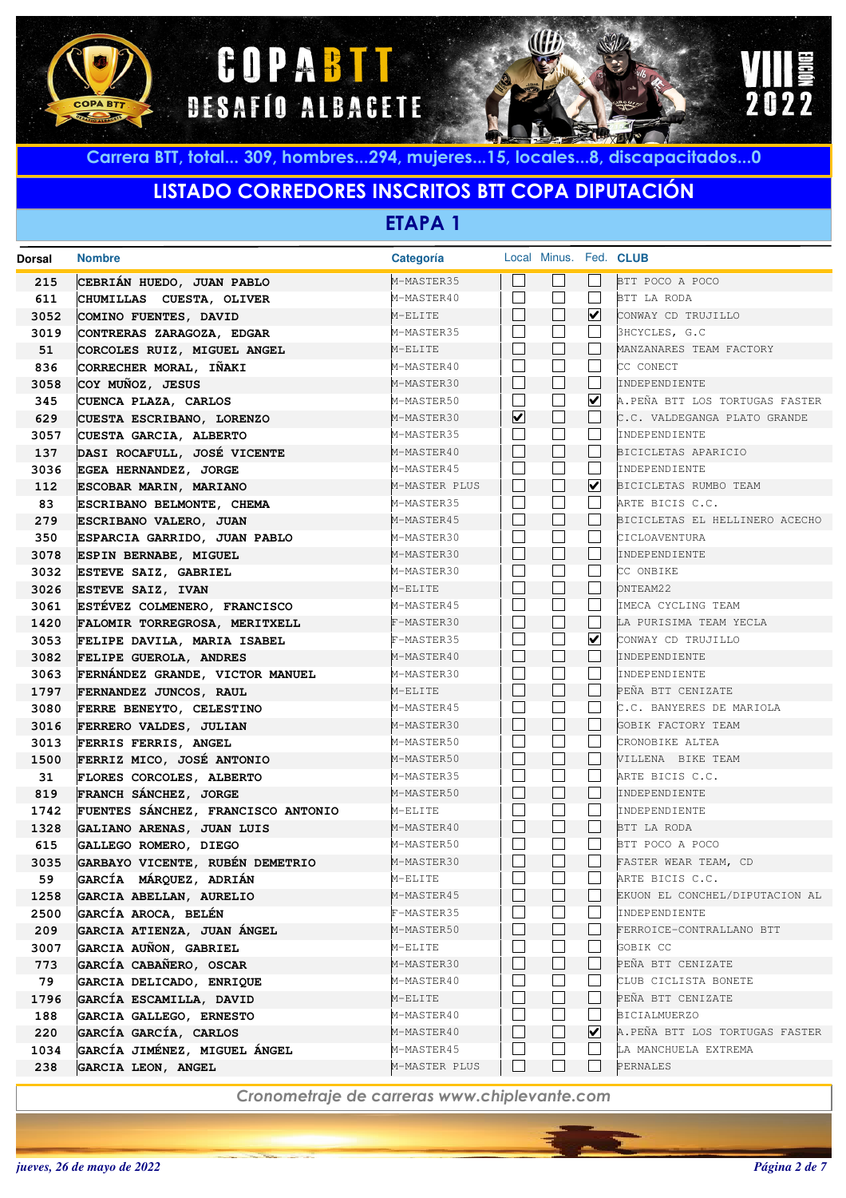





## **LISTADO CORREDORES INSCRITOS BTT COPA DIPUTACIÓN**

**ETAPA 1**

| <b>Dorsal</b> | <b>Nombre</b>                      | Categoría     |   | Local Minus. Fed. CLUB |                      |                                |
|---------------|------------------------------------|---------------|---|------------------------|----------------------|--------------------------------|
| 215           | CEBRIÁN HUEDO, JUAN PABLO          | M-MASTER35    |   |                        |                      | BTT POCO A POCO                |
| 611           | CHUMILLAS CUESTA, OLIVER           | M-MASTER40    |   | $\vert \ \ \vert$      | $\perp$              | BTT LA RODA                    |
| 3052          | COMINO FUENTES, DAVID              | M-ELITE       |   | $\sqcup$               | ☑                    | CONWAY CD TRUJILLO             |
| 3019          | CONTRERAS ZARAGOZA, EDGAR          | M-MASTER35    |   |                        | $\vert \ \ \vert$    | 3HCYCLES, G.C                  |
| 51            | CORCOLES RUIZ, MIGUEL ANGEL        | M-ELITE       |   | $\Box$                 |                      | MANZANARES TEAM FACTORY        |
| 836           | CORRECHER MORAL, IÑAKI             | M-MASTER40    |   | $\blacksquare$         | $\vert \ \ \vert$    | CC CONECT                      |
| 3058          | COY MUÑOZ, JESUS                   | M-MASTER30    |   | $\Box$                 | $\perp$              | INDEPENDIENTE                  |
| 345           | CUENCA PLAZA, CARLOS               | M-MASTER50    |   | $\Box$                 | $\blacktriangledown$ | A.PEÑA BTT LOS TORTUGAS FASTER |
| 629           | CUESTA ESCRIBANO, LORENZO          | M-MASTER30    | ☑ | $\Box$                 |                      | C.C. VALDEGANGA PLATO GRANDE   |
| 3057          | CUESTA GARCIA, ALBERTO             | M-MASTER35    |   | $\blacksquare$         | $\mathsf{L}$         | INDEPENDIENTE                  |
| 137           | DASI ROCAFULL, JOSÉ VICENTE        | M-MASTER40    |   | $\Box$                 |                      | BICICLETAS APARICIO            |
| 3036          | EGEA HERNANDEZ, JORGE              | M-MASTER45    |   | $\blacksquare$         | $\mathsf{L}$         | INDEPENDIENTE                  |
| 112           | ESCOBAR MARIN, MARIANO             | M-MASTER PLUS |   | $\Box$                 | ☑                    | BICICLETAS RUMBO TEAM          |
| 83            | ESCRIBANO BELMONTE, CHEMA          | M-MASTER35    |   | $\mathcal{L}$          |                      | ARTE BICIS C.C.                |
| 279           | ESCRIBANO VALERO, JUAN             | M-MASTER45    |   | $\Box$                 |                      | BICICLETAS EL HELLINERO ACECHO |
| 350           | ESPARCIA GARRIDO, JUAN PABLO       | M-MASTER30    |   | $\Box$                 |                      | CICLOAVENTURA                  |
| 3078          | ESPIN BERNABE, MIGUEL              | M-MASTER30    |   | $\Box$                 |                      | INDEPENDIENTE                  |
| 3032          | ESTEVE SAIZ, GABRIEL               | M-MASTER30    |   | $\blacksquare$         |                      | CC ONBIKE                      |
| 3026          | <b>ESTEVE SAIZ, IVAN</b>           | M-ELITE       |   | $\Box$                 | $\mathsf{L}$         | ONTEAM22                       |
| 3061          | ESTÉVEZ COLMENERO, FRANCISCO       | M-MASTER45    |   | $\blacksquare$         | $\mathsf{L}$         | IMECA CYCLING TEAM             |
| 1420          | FALOMIR TORREGROSA, MERITXELL      | F-MASTER30    |   | $\vert \ \ \vert$      | $\mathbf{I}$         | LA PURISIMA TEAM YECLA         |
| 3053          | FELIPE DAVILA, MARIA ISABEL        | F-MASTER35    |   | $\blacksquare$         | ☑                    | CONWAY CD TRUJILLO             |
| 3082          | FELIPE GUEROLA, ANDRES             | M-MASTER40    |   | $\Box$                 |                      | INDEPENDIENTE                  |
| 3063          | FERNÁNDEZ GRANDE, VICTOR MANUEL    | M-MASTER30    |   | $\blacksquare$         |                      | INDEPENDIENTE                  |
| 1797          | FERNANDEZ JUNCOS, RAUL             | M-ELITE       |   | $\Box$                 |                      | PEÑA BTT CENIZATE              |
| 3080          | FERRE BENEYTO, CELESTINO           | M-MASTER45    |   | $\blacksquare$         |                      | C.C. BANYERES DE MARIOLA       |
| 3016          | FERRERO VALDES, JULIAN             | M-MASTER30    |   | $\Box$                 |                      | GOBIK FACTORY TEAM             |
| 3013          | FERRIS FERRIS, ANGEL               | M-MASTER50    |   | $\blacksquare$         |                      | CRONOBIKE ALTEA                |
| 1500          | FERRIZ MICO, JOSÉ ANTONIO          | M-MASTER50    |   | $\Box$                 |                      | VILLENA BIKE TEAM              |
| 31            | FLORES CORCOLES, ALBERTO           | M-MASTER35    |   | $\blacksquare$         |                      | ARTE BICIS C.C.                |
| 819           | FRANCH SÁNCHEZ, JORGE              | M-MASTER50    |   | $\Box$                 |                      | INDEPENDIENTE                  |
| 1742          | FUENTES SÁNCHEZ, FRANCISCO ANTONIO | M-ELITE       |   | $\blacksquare$         |                      | INDEPENDIENTE                  |
| 1328          | GALIANO ARENAS, JUAN LUIS          | M-MASTER40    |   | $\vert \ \ \vert$      |                      | BTT LA RODA                    |
| 615           | GALLEGO ROMERO, DIEGO              | M-MASTER50    |   | $\blacksquare$         | $\vert \ \ \vert$    | BTT POCO A POCO                |
| 3035          | GARBAYO VICENTE, RUBÉN DEMETRIO    | M-MASTER30    |   | $\blacksquare$         |                      | FASTER WEAR TEAM, CD           |
| 59            | GARCÍA MÁRQUEZ, ADRIÁN             | M-ELITE       |   |                        |                      | ARTE BICIS C.C.                |
| 1258          | GARCIA ABELLAN, AURELIO            | M-MASTER45    |   |                        |                      | EKUON EL CONCHEL/DIPUTACION AL |
| 2500          | <b>GARCÍA AROCA, BELÉN</b>         | F-MASTER35    |   |                        |                      | INDEPENDIENTE                  |
| 209           | GARCIA ATIENZA, JUAN ÁNGEL         | M-MASTER50    |   |                        |                      | FERROICE-CONTRALLANO BTT       |
| 3007          | GARCIA AUÑON, GABRIEL              | M-ELITE       |   |                        |                      | GOBIK CC                       |
| 773           | GARCÍA CABAÑERO, OSCAR             | M-MASTER30    |   | $\vert \ \ \vert$      |                      | PEÑA BTT CENIZATE              |
| 79            | GARCIA DELICADO, ENRIQUE           | M-MASTER40    |   |                        |                      | CLUB CICLISTA BONETE           |
| 1796          | GARCÍA ESCAMILLA, DAVID            | M-ELITE       |   | $\mathsf{L}$           |                      | PEÑA BTT CENIZATE              |
| 188           | GARCIA GALLEGO, ERNESTO            | M-MASTER40    |   |                        |                      | <b>BICIALMUERZO</b>            |
| 220           | GARCÍA GARCÍA, CARLOS              | M-MASTER40    |   | $\vert \ \ \vert$      | ⊻                    | A.PEÑA BTT LOS TORTUGAS FASTER |
| 1034          | GARCÍA JIMÉNEZ, MIGUEL ÁNGEL       | M-MASTER45    |   |                        |                      | LA MANCHUELA EXTREMA           |
| 238           | GARCIA LEON, ANGEL                 | M-MASTER PLUS |   | $\Box$                 |                      | PERNALES                       |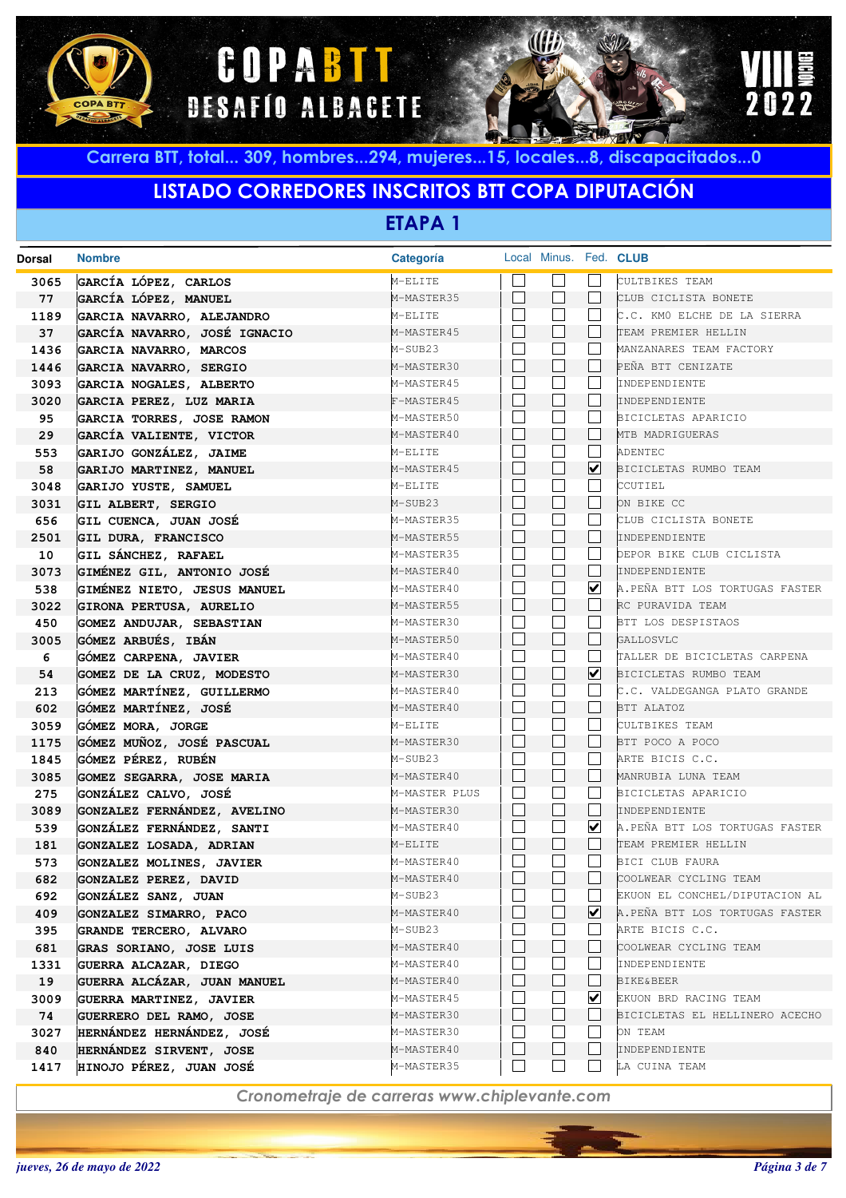





# **LISTADO CORREDORES INSCRITOS BTT COPA DIPUTACIÓN**

**ETAPA 1**

| <b>Dorsal</b> | <b>Nombre</b>                                     | <b>Categoría</b>         | Local Minus. Fed. CLUB       |                      |                                                 |
|---------------|---------------------------------------------------|--------------------------|------------------------------|----------------------|-------------------------------------------------|
| 3065          | GARCÍA LÓPEZ, CARLOS                              | M-ELITE                  |                              |                      | CULTBIKES TEAM                                  |
| 77            | GARCÍA LÓPEZ, MANUEL                              | M-MASTER35               | $\Box$                       |                      | CLUB CICLISTA BONETE                            |
| 1189          | GARCIA NAVARRO, ALEJANDRO                         | M-ELITE                  | $\vert \hspace{.06cm} \vert$ |                      | C.C. KMO ELCHE DE LA SIERRA                     |
| 37            | GARCÍA NAVARRO, JOSÉ IGNACIO                      | M-MASTER45               | $\vert \ \ \vert$            |                      | TEAM PREMIER HELLIN                             |
| 1436          | GARCIA NAVARRO, MARCOS                            | M-SUB23                  |                              |                      | MANZANARES TEAM FACTORY                         |
| 1446          | GARCIA NAVARRO, SERGIO                            | M-MASTER30               | $\Box$                       |                      | PEÑA BTT CENIZATE                               |
| 3093          | GARCIA NOGALES, ALBERTO                           | M-MASTER45               | $\mathbf{L}$                 |                      | INDEPENDIENTE                                   |
| 3020          | GARCIA PEREZ, LUZ MARIA                           | F-MASTER45               | $\Box$                       | L                    | INDEPENDIENTE                                   |
| 95            | GARCIA TORRES, JOSE RAMON                         | M-MASTER50               | $\mathbf{L}$                 |                      | BICICLETAS APARICIO                             |
| 29            | GARCÍA VALIENTE, VICTOR                           | M-MASTER40               | $\Box$                       |                      | MTB MADRIGUERAS                                 |
| 553           | GARIJO GONZÁLEZ, JAIME                            | M-ELITE                  | $\mathbf{L}$                 |                      | ADENTEC                                         |
| 58            | GARIJO MARTINEZ, MANUEL                           | M-MASTER45               | $\Box$                       | ☑                    | BICICLETAS RUMBO TEAM                           |
| 3048          | GARIJO YUSTE, SAMUEL                              | M-ELITE                  |                              |                      | CCUTIEL                                         |
| 3031          | GIL ALBERT, SERGIO                                | M-SUB23                  | $\Box$                       |                      | ON BIKE CC                                      |
| 656           | GIL CUENCA, JUAN JOSÉ                             | M-MASTER35               |                              |                      | CLUB CICLISTA BONETE                            |
| 2501          | GIL DURA, FRANCISCO                               | M-MASTER55               | $\Box$                       |                      | INDEPENDIENTE                                   |
| 10            | GIL SÁNCHEZ, RAFAEL                               | M-MASTER35               | $\mathbf{L}$                 |                      | DEPOR BIKE CLUB CICLISTA                        |
| 3073          | GIMÉNEZ GIL, ANTONIO JOSÉ                         | M-MASTER40               | $\Box$                       | L                    | INDEPENDIENTE                                   |
| 538           | GIMÉNEZ NIETO, JESUS MANUEL                       | M-MASTER40               |                              | $\blacktriangledown$ | A.PEÑA BTT LOS TORTUGAS FASTER                  |
| 3022          | GIRONA PERTUSA, AURELIO                           | M-MASTER55               | $\Box$                       |                      | RC PURAVIDA TEAM                                |
| 450           | GOMEZ ANDUJAR, SEBASTIAN                          | M-MASTER30               |                              |                      | BTT LOS DESPISTAOS                              |
| 3005          | GÓMEZ ARBUÉS, IBÁN                                | M-MASTER50               | $\Box$                       |                      | GALLOSVLC                                       |
| 6             | GÓMEZ CARPENA, JAVIER                             | M-MASTER40               | $\mathbf{L}$                 | L.                   | TALLER DE BICICLETAS CARPENA                    |
| 54            | GOMEZ DE LA CRUZ, MODESTO                         | M-MASTER30               | П                            | $\blacktriangledown$ | BICICLETAS RUMBO TEAM                           |
| 213           | GÓMEZ MARTÍNEZ, GUILLERMO                         | M-MASTER40               |                              |                      | C.C. VALDEGANGA PLATO GRANDE                    |
| 602           | GÓMEZ MARTÍNEZ, JOSÉ                              | M-MASTER40               | $\mathbf{I}$                 |                      | BTT ALATOZ                                      |
| 3059          | GÓMEZ MORA, JORGE                                 | M-ELITE                  |                              |                      | CULTBIKES TEAM                                  |
| 1175          | GÓMEZ MUÑOZ, JOSÉ PASCUAL                         | M-MASTER30               | П                            |                      | BTT POCO A POCO                                 |
| 1845          | GÓMEZ PÉREZ, RUBÉN                                | M-SUB23                  | I.                           |                      | ARTE BICIS C.C.                                 |
| 3085          | GOMEZ SEGARRA, JOSE MARIA                         | M-MASTER40               | $\Box$<br>$\mathbf{L}$       |                      | MANRUBIA LUNA TEAM                              |
| 275           | GONZÁLEZ CALVO, JOSÉ                              | M-MASTER PLUS            | Н                            | L                    | BICICLETAS APARICIO                             |
| 3089          | GONZALEZ FERNÁNDEZ, AVELINO                       | M-MASTER30<br>M-MASTER40 |                              | $\blacktriangledown$ | INDEPENDIENTE<br>A.PEÑA BTT LOS TORTUGAS FASTER |
| 539           | GONZÁLEZ FERNÁNDEZ, SANTI                         | M-ELITE                  | $\Box$                       | $\mathbf{I}$         | TEAM PREMIER HELLIN                             |
| 181<br>573    | GONZALEZ LOSADA, ADRIAN                           | M-MASTER40               |                              |                      | BICI CLUB FAURA                                 |
| 682           | GONZALEZ MOLINES, JAVIER<br>GONZALEZ PEREZ, DAVID | M-MASTER40               |                              |                      | COOLWEAR CYCLING TEAM                           |
| 692           | <b>GONZALEZ SANZ, JUAN</b>                        | M-SUB23                  |                              |                      | EKUON EL CONCHEL/DIPUTACION AL                  |
| 409           | GONZALEZ SIMARRO, PACO                            | M-MASTER40               |                              | ⊻                    | A.PEÑA BTT LOS TORTUGAS FASTER                  |
| 395           | GRANDE TERCERO, ALVARO                            | M-SUB23                  |                              |                      | ARTE BICIS C.C.                                 |
| 681           | GRAS SORIANO, JOSE LUIS                           | M-MASTER40               | $\perp$                      |                      | COOLWEAR CYCLING TEAM                           |
| 1331          | GUERRA ALCAZAR, DIEGO                             | M-MASTER40               |                              |                      | INDEPENDIENTE                                   |
| 19            | GUERRA ALCÁZAR, JUAN MANUEL                       | M-MASTER40               | ⊔                            | L                    | <b>BIKE&amp;BEER</b>                            |
| 3009          | GUERRA MARTINEZ, JAVIER                           | M-MASTER45               |                              | ⊻                    | EKUON BRD RACING TEAM                           |
| 74            | GUERRERO DEL RAMO, JOSE                           | M-MASTER30               | $\vert \ \ \vert$            |                      | BICICLETAS EL HELLINERO ACECHO                  |
| 3027          | HERNÁNDEZ HERNÁNDEZ, JOSÉ                         | M-MASTER30               |                              |                      | ON TEAM                                         |
| 840           | HERNÁNDEZ SIRVENT, JOSE                           | M-MASTER40               | $\mathbf{I}$                 |                      | INDEPENDIENTE                                   |
| 1417          | HINOJO PÉREZ, JUAN JOSÉ                           | M-MASTER35               |                              |                      | LA CUINA TEAM                                   |
|               |                                                   |                          |                              |                      |                                                 |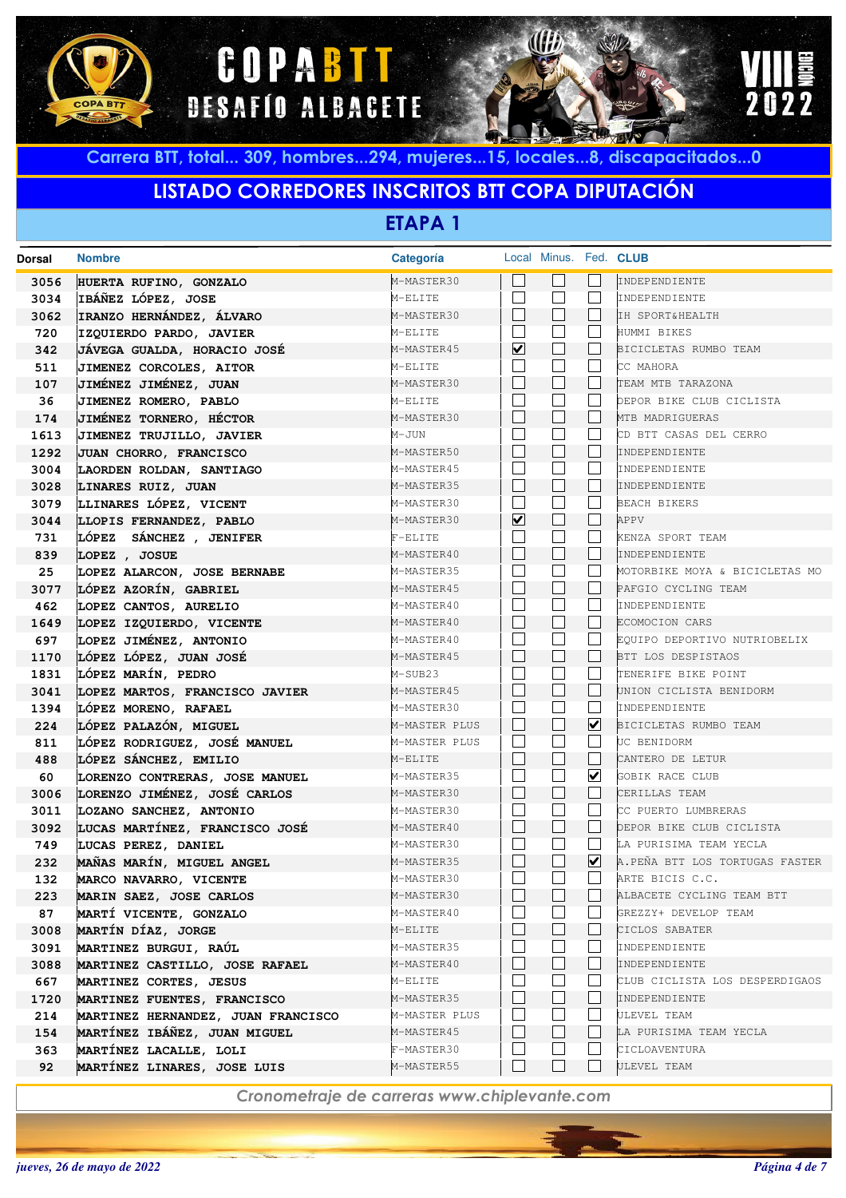





# **LISTADO CORREDORES INSCRITOS BTT COPA DIPUTACIÓN**

**ETAPA 1**

| Dorsal | <b>Nombre</b>                      | Categoría     |                              | Local Minus. Fed. CLUB |                         |                                |
|--------|------------------------------------|---------------|------------------------------|------------------------|-------------------------|--------------------------------|
| 3056   | HUERTA RUFINO, GONZALO             | M-MASTER30    |                              |                        |                         | INDEPENDIENTE                  |
| 3034   | IBÁÑEZ LÓPEZ, JOSE                 | M-ELITE       |                              |                        | L.                      | INDEPENDIENTE                  |
| 3062   | IRANZO HERNÁNDEZ, ÁLVARO           | M-MASTER30    |                              |                        |                         | IH SPORT&HEALTH                |
| 720    | IZQUIERDO PARDO, JAVIER            | M-ELITE       |                              |                        |                         | HUMMI BIKES                    |
| 342    | JÁVEGA GUALDA, HORACIO JOSÉ        | M-MASTER45    | ☑                            |                        |                         | BICICLETAS RUMBO TEAM          |
| 511    | JIMENEZ CORCOLES, AITOR            | M-ELITE       |                              |                        |                         | CC MAHORA                      |
| 107    | JIMÉNEZ JIMÉNEZ, JUAN              | M-MASTER30    |                              |                        |                         | TEAM MTB TARAZONA              |
| 36     | JIMENEZ ROMERO, PABLO              | M-ELITE       |                              |                        |                         | DEPOR BIKE CLUB CICLISTA       |
| 174    | JIMÉNEZ TORNERO, HÉCTOR            | M-MASTER30    |                              |                        |                         | MTB MADRIGUERAS                |
| 1613   | JIMENEZ TRUJILLO, JAVIER           | M-JUN         |                              |                        |                         | CD BTT CASAS DEL CERRO         |
| 1292   | JUAN CHORRO, FRANCISCO             | M-MASTER50    | $\mathbf{L}$                 |                        |                         | INDEPENDIENTE                  |
| 3004   | LAORDEN ROLDAN, SANTIAGO           | M-MASTER45    |                              |                        |                         | INDEPENDIENTE                  |
| 3028   | LINARES RUIZ, JUAN                 | M-MASTER35    | L                            |                        |                         | INDEPENDIENTE                  |
| 3079   | LLINARES LÓPEZ, VICENT             | M-MASTER30    |                              |                        |                         | <b>BEACH BIKERS</b>            |
| 3044   | LLOPIS FERNANDEZ, PABLO            | M-MASTER30    | $\boxed{\blacktriangledown}$ | $\mathbf{L}$           | L                       | APPV                           |
| 731    | LÓPEZ SÁNCHEZ , JENIFER            | F-ELITE       |                              |                        |                         | KENZA SPORT TEAM               |
| 839    | LOPEZ , JOSUE                      | M-MASTER40    | $\mathbf{L}$                 |                        |                         | INDEPENDIENTE                  |
| 25     | LOPEZ ALARCON, JOSE BERNABE        | M-MASTER35    |                              |                        |                         | MOTORBIKE MOYA & BICICLETAS MO |
| 3077   | LÓPEZ AZORÍN, GABRIEL              | M-MASTER45    | L                            |                        |                         | PAFGIO CYCLING TEAM            |
| 462    | LOPEZ CANTOS, AURELIO              | M-MASTER40    |                              |                        |                         | INDEPENDIENTE                  |
| 1649   | LOPEZ IZQUIERDO, VICENTE           | M-MASTER40    | $\mathbf{L}$                 |                        |                         | ECOMOCION CARS                 |
| 697    | LOPEZ JIMÉNEZ, ANTONIO             | M-MASTER40    |                              |                        |                         | EQUIPO DEPORTIVO NUTRIOBELIX   |
| 1170   | LÓPEZ LÓPEZ, JUAN JOSÉ             | M-MASTER45    |                              |                        |                         | BTT LOS DESPISTAOS             |
| 1831   | LÓPEZ MARÍN, PEDRO                 | M-SUB23       |                              |                        |                         | TENERIFE BIKE POINT            |
| 3041   | LOPEZ MARTOS, FRANCISCO JAVIER     | M-MASTER45    |                              |                        |                         | UNION CICLISTA BENIDORM        |
| 1394   | LÓPEZ MORENO, RAFAEL               | M-MASTER30    |                              |                        | L                       | INDEPENDIENTE                  |
| 224    | LÓPEZ PALAZÓN, MIGUEL              | M-MASTER PLUS | L                            |                        | $\overline{\mathbf{v}}$ | BICICLETAS RUMBO TEAM          |
| 811    | LÓPEZ RODRIGUEZ, JOSÉ MANUEL       | M-MASTER PLUS |                              |                        | L.                      | UC BENIDORM                    |
| 488    | LÓPEZ SÁNCHEZ, EMILIO              | M-ELITE       | L                            |                        | L                       | CANTERO DE LETUR               |
| 60     | LORENZO CONTRERAS, JOSE MANUEL     | M-MASTER35    |                              |                        | $\overline{\mathbf{v}}$ | GOBIK RACE CLUB                |
| 3006   | LORENZO JIMÉNEZ, JOSÉ CARLOS       | M-MASTER30    | $\mathbf{L}$                 |                        | L                       | CERILLAS TEAM                  |
| 3011   | LOZANO SANCHEZ, ANTONIO            | M-MASTER30    |                              |                        |                         | CC PUERTO LUMBRERAS            |
| 3092   | LUCAS MARTÍNEZ, FRANCISCO JOSÉ     | M-MASTER40    | $\mathbf{L}$                 |                        |                         | DEPOR BIKE CLUB CICLISTA       |
| 749    | LUCAS PEREZ, DANIEL                | M-MASTER30    |                              |                        | L.                      | LA PURISIMA TEAM YECLA         |
| 232    | MAÑAS MARÍN, MIGUEL ANGEL          | M-MASTER35    |                              |                        | ⊻                       | A.PEÑA BTT LOS TORTUGAS FASTER |
| 132    | MARCO NAVARRO, VICENTE             | M-MASTER30    | $\mathbf{L}$                 |                        |                         | ARTE BICIS C.C.                |
| 223    | MARIN SAEZ, JOSE CARLOS            | M-MASTER30    |                              |                        |                         | ALBACETE CYCLING TEAM BTT      |
| 87     | MARTÍ VICENTE, GONZALO             | M-MASTER40    |                              |                        |                         | GREZZY+ DEVELOP TEAM           |
| 3008   | MARTÍN DÍAZ, JORGE                 | M-ELITE       |                              |                        |                         | CICLOS SABATER                 |
| 3091   | MARTINEZ BURGUI, RAÚL              | M-MASTER35    |                              |                        |                         | INDEPENDIENTE                  |
| 3088   | MARTINEZ CASTILLO, JOSE RAFAEL     | M-MASTER40    |                              |                        |                         | INDEPENDIENTE                  |
| 667    | MARTINEZ CORTES, JESUS             | M-ELITE       |                              |                        |                         | CLUB CICLISTA LOS DESPERDIGAOS |
| 1720   | MARTINEZ FUENTES, FRANCISCO        | M-MASTER35    |                              |                        |                         | INDEPENDIENTE                  |
| 214    | MARTINEZ HERNANDEZ, JUAN FRANCISCO | M-MASTER PLUS |                              |                        |                         | <b>ULEVEL TEAM</b>             |
| 154    | MARTÍNEZ IBÁÑEZ, JUAN MIGUEL       | M-MASTER45    |                              |                        |                         | LA PURISIMA TEAM YECLA         |
| 363    | MARTÍNEZ LACALLE, LOLI             | F-MASTER30    |                              |                        |                         | CICLOAVENTURA                  |
| 92     | MARTÍNEZ LINARES, JOSE LUIS        | M-MASTER55    |                              |                        |                         | ULEVEL TEAM                    |
|        |                                    |               |                              |                        |                         |                                |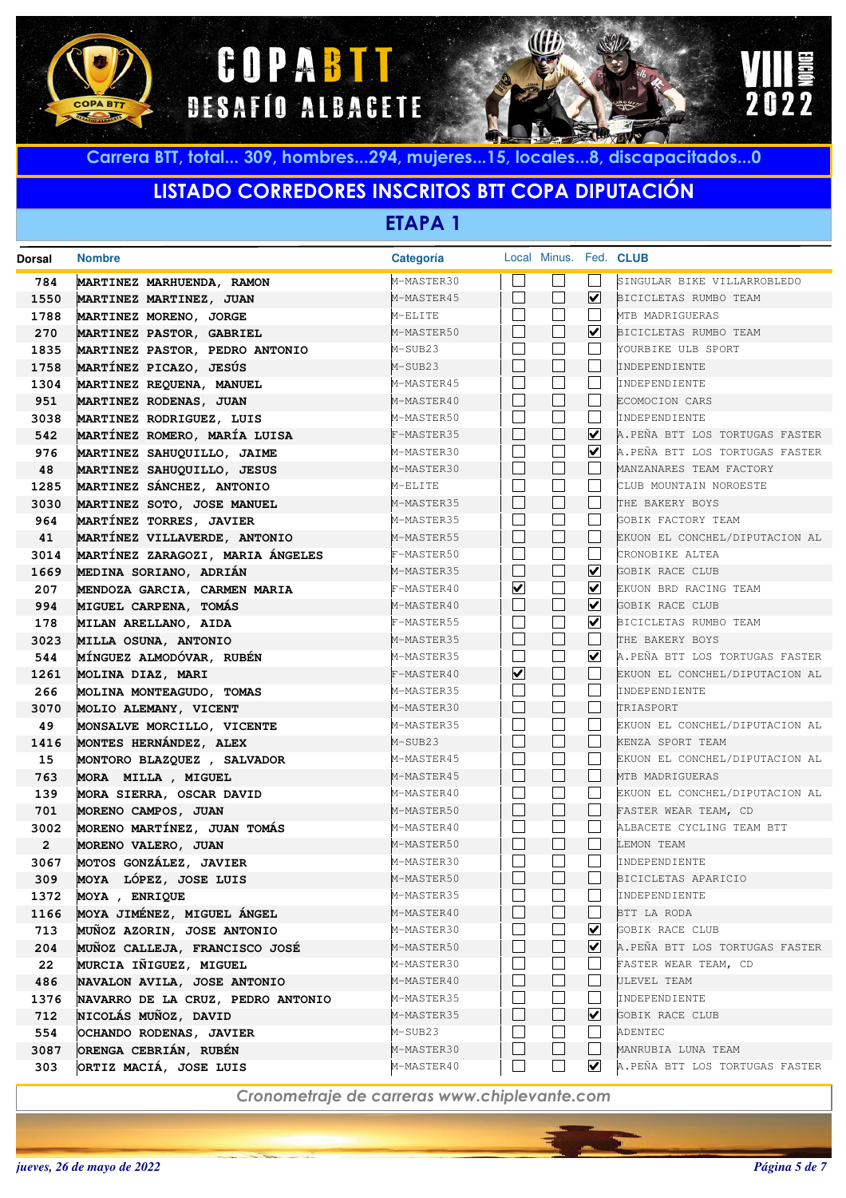





#### **LISTADO CORREDORES INSCRITOS BTT COPA DIPUTACIÓN**

**ETAPA 1**

| <b>Dorsal</b>          | <b>Nombre</b>                                 | Categoría                |                          | Local Minus. Fed. CLUB |                             |                                |
|------------------------|-----------------------------------------------|--------------------------|--------------------------|------------------------|-----------------------------|--------------------------------|
| 784                    | MARTINEZ MARHUENDA, RAMON                     | M-MASTER30               |                          |                        |                             | SINGULAR BIKE VILLARROBLEDO    |
| 1550                   | MARTINEZ MARTINEZ, JUAN                       | M-MASTER45               |                          | $\blacksquare$         | ☑                           | BICICLETAS RUMBO TEAM          |
| 1788                   | MARTINEZ MORENO, JORGE                        | M-ELITE                  | $\overline{\phantom{a}}$ |                        |                             | MTB MADRIGUERAS                |
| 270                    | MARTINEZ PASTOR, GABRIEL                      | M-MASTER50               |                          |                        | $\overline{\mathbf{v}}$     | BICICLETAS RUMBO TEAM          |
| 1835                   | MARTINEZ PASTOR, PEDRO ANTONIO                | M-SUB23                  |                          |                        |                             | YOURBIKE ULB SPORT             |
| 1758                   | MARTÍNEZ PICAZO, JESÚS                        | M-SUB23                  |                          |                        |                             | INDEPENDIENTE                  |
| 1304                   | MARTINEZ REQUENA, MANUEL                      | M-MASTER45               |                          |                        |                             | INDEPENDIENTE                  |
| 951                    | MARTINEZ RODENAS, JUAN                        | M-MASTER40               |                          | $\blacksquare$         |                             | ECOMOCION CARS                 |
| 3038                   | MARTINEZ RODRIGUEZ, LUIS                      | M-MASTER50               |                          |                        |                             | INDEPENDIENTE                  |
| 542                    | MARTÍNEZ ROMERO, MARÍA LUISA                  | F-MASTER35               |                          | $\blacksquare$         | ☑                           | A.PEÑA BTT LOS TORTUGAS FASTER |
| 976                    | MARTINEZ SAHUQUILLO, JAIME                    | M-MASTER30               |                          |                        | $\blacktriangledown$        | A.PEÑA BTT LOS TORTUGAS FASTER |
| 48                     | MARTINEZ SAHUQUILLO, JESUS                    | M-MASTER30               |                          | $\blacksquare$         |                             | MANZANARES TEAM FACTORY        |
| 1285                   | MARTINEZ SÁNCHEZ, ANTONIO                     | M-ELITE                  |                          |                        |                             | CLUB MOUNTAIN NOROESTE         |
| 3030                   | MARTINEZ SOTO, JOSE MANUEL                    | M-MASTER35               |                          | $\blacksquare$         |                             | THE BAKERY BOYS                |
| 964                    | MARTÍNEZ TORRES, JAVIER                       | M-MASTER35               | $\vert \ \ \vert$        |                        |                             | GOBIK FACTORY TEAM             |
| 41                     | MARTÍNEZ VILLAVERDE, ANTONIO                  | M-MASTER55               |                          | $\blacksquare$         |                             | EKUON EL CONCHEL/DIPUTACION AL |
| 3014                   | MARTÍNEZ ZARAGOZI, MARIA ÁNGELES              | F-MASTER50               | $\vert \ \ \vert$        |                        |                             | CRONOBIKE ALTEA                |
| 1669                   | MEDINA SORIANO, ADRIÁN                        | M-MASTER35               |                          | $\blacksquare$         | ⊻                           | GOBIK RACE CLUB                |
| 207                    | MENDOZA GARCIA, CARMEN MARIA                  | F-MASTER40               | $\blacktriangledown$     |                        | ⊻                           | EKUON BRD RACING TEAM          |
| 994                    | MIGUEL CARPENA, TOMÁS                         | M-MASTER40               |                          | $\blacksquare$         | ⊻                           | GOBIK RACE CLUB                |
| 178                    | MILAN ARELLANO, AIDA                          | F-MASTER55               | $\overline{\phantom{a}}$ |                        | V                           | BICICLETAS RUMBO TEAM          |
| 3023                   | MILLA OSUNA, ANTONIO                          | M-MASTER35               |                          | $\blacksquare$         |                             | THE BAKERY BOYS                |
| 544                    | MÍNGUEZ ALMODÓVAR, RUBÉN                      | M-MASTER35               | $\overline{\phantom{a}}$ |                        | ⊻                           | A.PEÑA BTT LOS TORTUGAS FASTER |
| 1261                   | MOLINA DIAZ, MARI                             | F-MASTER40               | $\overline{\mathbf{v}}$  | $\blacksquare$         |                             | EKUON EL CONCHEL/DIPUTACION AL |
| 266                    | MOLINA MONTEAGUDO, TOMAS                      | M-MASTER35               | $\blacksquare$           |                        |                             | INDEPENDIENTE                  |
| 3070                   | MOLIO ALEMANY, VICENT                         | M-MASTER30               |                          | $\blacksquare$         |                             | TRIASPORT                      |
| 49                     | MONSALVE MORCILLO, VICENTE                    | M-MASTER35               | $\vert \ \ \vert$        |                        |                             | EKUON EL CONCHEL/DIPUTACION AL |
| 1416                   | MONTES HERNÁNDEZ, ALEX                        | M-SUB23                  |                          | $\blacksquare$         |                             | KENZA SPORT TEAM               |
| 15                     | MONTORO BLAZQUEZ , SALVADOR                   | M-MASTER45               | $\vert \ \ \vert$        |                        |                             | EKUON EL CONCHEL/DIPUTACION AL |
| 763                    | MORA MILLA, MIGUEL                            | M-MASTER45               | $\vert \ \ \vert$        | $\blacksquare$         |                             | MTB MADRIGUERAS                |
| 139                    | MORA SIERRA, OSCAR DAVID                      | M-MASTER40               |                          | $\Box$                 |                             | EKUON EL CONCHEL/DIPUTACION AL |
| 701                    | MORENO CAMPOS, JUAN                           | M-MASTER50               | $\vert \ \ \vert$        |                        |                             | FASTER WEAR TEAM, CD           |
| 3002                   | MORENO MARTÍNEZ, JUAN TOMÁS                   | M-MASTER40<br>M-MASTER50 |                          | П                      |                             | ALBACETE CYCLING TEAM BTT      |
| $\overline{2}$<br>3067 | MORENO VALERO, JUAN<br>MOTOS GONZÁLEZ, JAVIER | M-MASTER30               |                          |                        |                             | LEMON TEAM<br>INDEPENDIENTE    |
| 309                    | MOYA LÓPEZ, JOSE LUIS                         | M-MASTER50               |                          |                        |                             | BICICLETAS APARICIO            |
| 1372                   | MOYA, ENRIQUE                                 | M-MASTER35               |                          |                        |                             | INDEPENDIENTE                  |
| 1166                   | MOYA JIMÉNEZ, MIGUEL ÁNGEL                    | M-MASTER40               |                          |                        |                             | BTT LA RODA                    |
| 713                    | MUÑOZ AZORIN, JOSE ANTONIO                    | M-MASTER30               |                          |                        | ⊻                           | GOBIK RACE CLUB                |
| 204                    | MUÑOZ CALLEJA, FRANCISCO JOSÉ                 | M-MASTER50               |                          |                        | $\vert\mathbf{v}\vert$      | A.PEÑA BTT LOS TORTUGAS FASTER |
| 22                     | MURCIA IÑIGUEZ, MIGUEL                        | M-MASTER30               |                          |                        |                             | FASTER WEAR TEAM, CD           |
| 486                    | NAVALON AVILA, JOSE ANTONIO                   | M-MASTER40               |                          |                        |                             | ULEVEL TEAM                    |
| 1376                   | NAVARRO DE LA CRUZ, PEDRO ANTONIO             | M-MASTER35               |                          |                        |                             | INDEPENDIENTE                  |
| 712                    | NICOLÁS MUÑOZ, DAVID                          | M-MASTER35               |                          |                        | ⊻                           | GOBIK RACE CLUB                |
| 554                    | OCHANDO RODENAS, JAVIER                       | M-SUB23                  |                          |                        |                             | ADENTEC                        |
| 3087                   | ORENGA CEBRIÁN, RUBÉN                         | M-MASTER30               |                          |                        |                             | MANRUBIA LUNA TEAM             |
| 303                    | ORTIZ MACIÁ, JOSE LUIS                        | M-MASTER40               |                          |                        | $\vert\bm{\mathsf{v}}\vert$ | A.PEÑA BTT LOS TORTUGAS FASTER |
|                        |                                               |                          |                          |                        |                             |                                |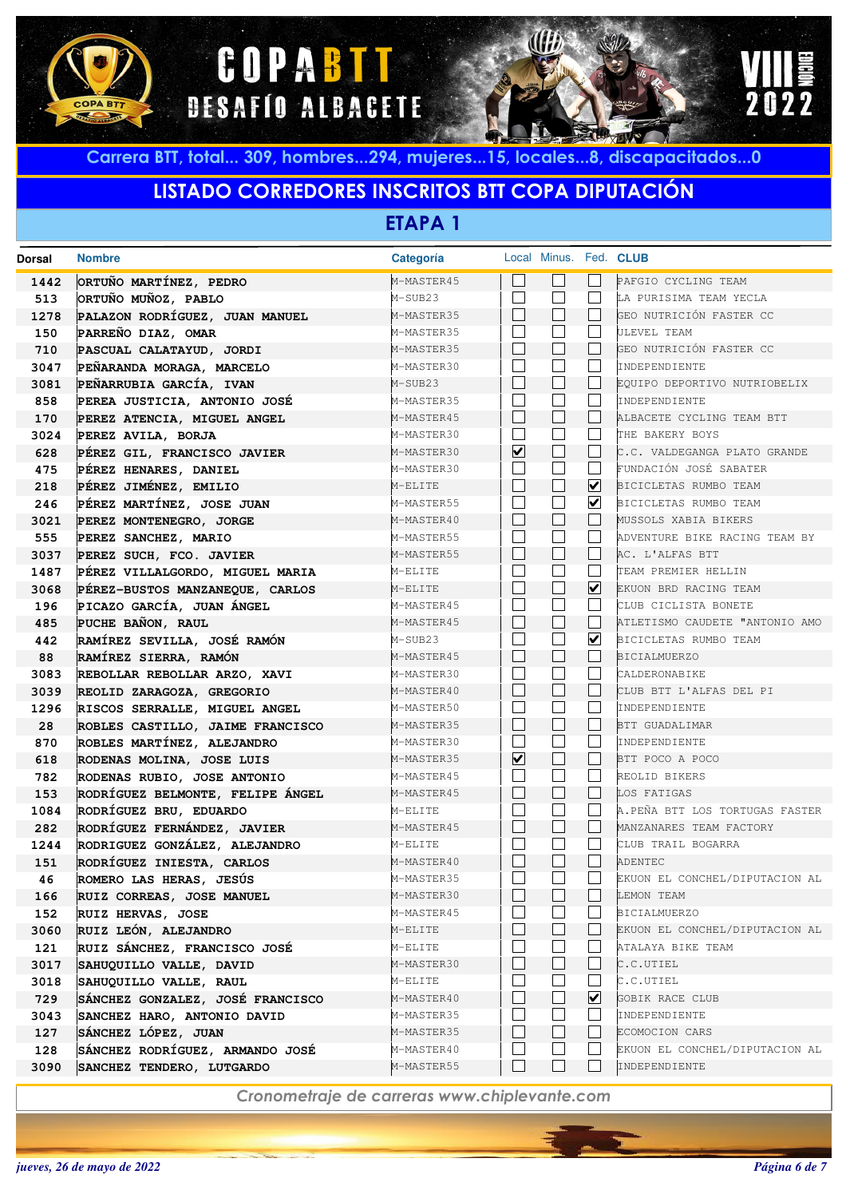





### **LISTADO CORREDORES INSCRITOS BTT COPA DIPUTACIÓN**

**ETAPA 1**

| <b>Dorsal</b> | <b>Nombre</b>                    | Categoría  |                          | Local Minus. Fed. CLUB |                         |                                |
|---------------|----------------------------------|------------|--------------------------|------------------------|-------------------------|--------------------------------|
| 1442          | ORTUÑO MARTÍNEZ, PEDRO           | M-MASTER45 |                          |                        |                         | PAFGIO CYCLING TEAM            |
| 513           | ORTUÑO MUÑOZ, PABLO              | M-SUB23    | $\mathcal{A}$            |                        |                         | LA PURISIMA TEAM YECLA         |
| 1278          | PALAZON RODRÍGUEZ, JUAN MANUEL   | M-MASTER35 |                          |                        |                         | GEO NUTRICIÓN FASTER CC        |
| 150           | PARREÑO DIAZ, OMAR               | M-MASTER35 | $\overline{\phantom{a}}$ |                        |                         | ULEVEL TEAM                    |
| 710           | PASCUAL CALATAYUD, JORDI         | M-MASTER35 |                          |                        |                         | GEO NUTRICIÓN FASTER CC        |
| 3047          | PEÑARANDA MORAGA, MARCELO        | M-MASTER30 |                          |                        |                         | INDEPENDIENTE                  |
| 3081          | PEÑARRUBIA GARCÍA, IVAN          | M-SUB23    |                          | $\blacksquare$         |                         | EQUIPO DEPORTIVO NUTRIOBELIX   |
| 858           | PEREA JUSTICIA, ANTONIO JOSÉ     | M-MASTER35 |                          |                        |                         | INDEPENDIENTE                  |
| 170           | PEREZ ATENCIA, MIGUEL ANGEL      | M-MASTER45 |                          | $\blacksquare$         |                         | ALBACETE CYCLING TEAM BTT      |
| 3024          | PEREZ AVILA, BORJA               | M-MASTER30 |                          |                        |                         | THE BAKERY BOYS                |
| 628           | PÉREZ GIL, FRANCISCO JAVIER      | M-MASTER30 | $\overline{\mathbf{v}}$  | П                      |                         | C.C. VALDEGANGA PLATO GRANDE   |
| 475           | PÉREZ HENARES, DANIEL            | M-MASTER30 |                          |                        |                         | FUNDACIÓN JOSÉ SABATER         |
| 218           | PÉREZ JIMÉNEZ, EMILIO            | M-ELITE    |                          | П                      | ☑                       | BICICLETAS RUMBO TEAM          |
| 246           | PÉREZ MARTÍNEZ, JOSE JUAN        | M-MASTER55 | $\vert \ \ \vert$        |                        | $\blacktriangledown$    | BICICLETAS RUMBO TEAM          |
| 3021          | PEREZ MONTENEGRO, JORGE          | M-MASTER40 |                          | $\mathcal{L}$          |                         | MUSSOLS XABIA BIKERS           |
| 555           | PEREZ SANCHEZ, MARIO             | M-MASTER55 | $\vert \ \ \vert$        |                        |                         | ADVENTURE BIKE RACING TEAM BY  |
| 3037          | PEREZ SUCH, FCO. JAVIER          | M-MASTER55 |                          | $\blacksquare$         |                         | AC. L'ALFAS BTT                |
| 1487          | PÉREZ VILLALGORDO, MIGUEL MARIA  | M-ELITE    | $\overline{\phantom{a}}$ |                        |                         | TEAM PREMIER HELLIN            |
| 3068          | PÉREZ-BUSTOS MANZANEQUE, CARLOS  | M-ELITE    |                          | $\blacksquare$         | $\blacktriangledown$    | EKUON BRD RACING TEAM          |
| 196           | PICAZO GARCÍA, JUAN ÁNGEL        | M-MASTER45 | $\overline{\phantom{a}}$ |                        |                         | CLUB CICLISTA BONETE           |
| 485           | PUCHE BAÑON, RAUL                | M-MASTER45 |                          | $\blacksquare$         |                         | ATLETISMO CAUDETE "ANTONIO AMO |
| 442           | RAMÍREZ SEVILLA, JOSÉ RAMÓN      | M-SUB23    | $\overline{\phantom{a}}$ |                        | $\overline{\mathbf{v}}$ | BICICLETAS RUMBO TEAM          |
| 88            | RAMÍREZ SIERRA, RAMÓN            | M-MASTER45 |                          | $\blacksquare$         |                         | <b>BICIALMUERZO</b>            |
| 3083          | REBOLLAR REBOLLAR ARZO, XAVI     | M-MASTER30 | $\overline{\phantom{a}}$ |                        |                         | CALDERONABIKE                  |
| 3039          | REOLID ZARAGOZA, GREGORIO        | M-MASTER40 |                          | $\blacksquare$         |                         | CLUB BTT L'ALFAS DEL PI        |
| 1296          | RISCOS SERRALLE, MIGUEL ANGEL    | M-MASTER50 | $\overline{\phantom{a}}$ |                        |                         | INDEPENDIENTE                  |
| 28            | ROBLES CASTILLO, JAIME FRANCISCO | M-MASTER35 |                          | $\blacksquare$         |                         | BTT GUADALIMAR                 |
| 870           | ROBLES MARTÍNEZ, ALEJANDRO       | M-MASTER30 | $\vert \ \ \vert$        |                        |                         | INDEPENDIENTE                  |
| 618           | RODENAS MOLINA, JOSE LUIS        | M-MASTER35 | $\overline{\mathbf{v}}$  | П                      |                         | BTT POCO A POCO                |
| 782           | RODENAS RUBIO, JOSE ANTONIO      | M-MASTER45 |                          |                        |                         | REOLID BIKERS                  |
| 153           | RODRÍGUEZ BELMONTE, FELIPE ÁNGEL | M-MASTER45 |                          | П                      |                         | LOS FATIGAS                    |
| 1084          | RODRÍGUEZ BRU, EDUARDO           | M-ELITE    |                          |                        |                         | A.PEÑA BTT LOS TORTUGAS FASTER |
| 282           | RODRÍGUEZ FERNÁNDEZ, JAVIER      | M-MASTER45 |                          | П                      |                         | MANZANARES TEAM FACTORY        |
| 1244          | RODRIGUEZ GONZÁLEZ, ALEJANDRO    | M-ELITE    |                          |                        |                         | CLUB TRAIL BOGARRA             |
| 151           | RODRÍGUEZ INIESTA, CARLOS        | M-MASTER40 |                          | $\mathcal{L}$          |                         | ADENTEC                        |
| 46            | ROMERO LAS HERAS, JESÚS          | M-MASTER35 |                          |                        |                         | EKUON EL CONCHEL/DIPUTACION AL |
| 166           | RUIZ CORREAS, JOSE MANUEL        | M-MASTER30 |                          |                        |                         | LEMON TEAM                     |
| 152           | RUIZ HERVAS, JOSE                | M-MASTER45 |                          |                        |                         | <b>BICIALMUERZO</b>            |
| 3060          | RUIZ LEÓN, ALEJANDRO             | M-ELITE    |                          |                        |                         | EKUON EL CONCHEL/DIPUTACION AL |
| 121           | RUIZ SÁNCHEZ, FRANCISCO JOSÉ     | M-ELITE    |                          |                        |                         | ATALAYA BIKE TEAM              |
| 3017          | SAHUQUILLO VALLE, DAVID          | M-MASTER30 |                          |                        |                         | C.C.UTIEL                      |
| 3018          | SAHUQUILLO VALLE, RAUL           | M-ELITE    |                          |                        |                         | C.C.UTIEL                      |
| 729           | SÁNCHEZ GONZALEZ, JOSÉ FRANCISCO | M-MASTER40 |                          |                        | ☑                       | GOBIK RACE CLUB                |
| 3043          | SANCHEZ HARO, ANTONIO DAVID      | M-MASTER35 |                          |                        |                         | INDEPENDIENTE                  |
| 127           | SÁNCHEZ LÓPEZ, JUAN              | M-MASTER35 |                          |                        |                         | ECOMOCION CARS                 |
| 128           | SÁNCHEZ RODRÍGUEZ, ARMANDO JOSÉ  | M-MASTER40 |                          |                        |                         | EKUON EL CONCHEL/DIPUTACION AL |
| 3090          | SANCHEZ TENDERO, LUTGARDO        | M-MASTER55 |                          |                        |                         | INDEPENDIENTE                  |